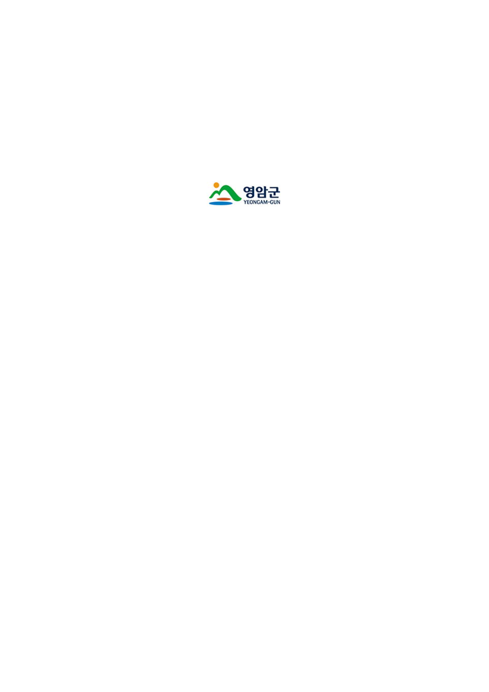